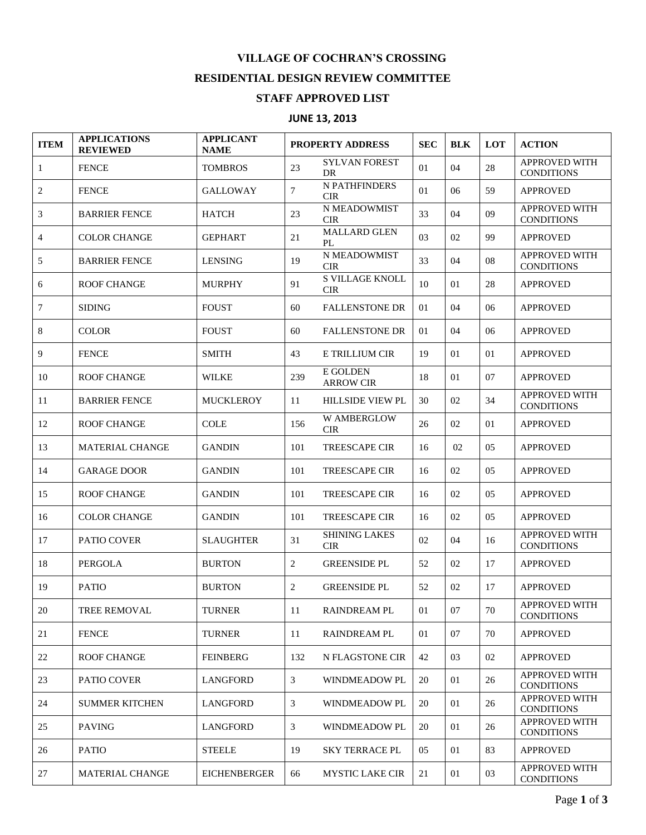## **VILLAGE OF COCHRAN'S CROSSING**

## **RESIDENTIAL DESIGN REVIEW COMMITTEE**

## **STAFF APPROVED LIST**

## **JUNE 13, 2013**

| <b>ITEM</b>    | <b>APPLICATIONS</b><br><b>REVIEWED</b> | <b>APPLICANT</b><br><b>NAME</b> | PROPERTY ADDRESS |                                      | <b>SEC</b> | <b>BLK</b> | LOT | <b>ACTION</b>                             |
|----------------|----------------------------------------|---------------------------------|------------------|--------------------------------------|------------|------------|-----|-------------------------------------------|
| $\mathbf{1}$   | <b>FENCE</b>                           | <b>TOMBROS</b>                  | 23               | <b>SYLVAN FOREST</b><br>DR           | 01         | 04         | 28  | <b>APPROVED WITH</b><br><b>CONDITIONS</b> |
| $\mathbf{2}$   | <b>FENCE</b>                           | <b>GALLOWAY</b>                 | $\overline{7}$   | N PATHFINDERS<br><b>CIR</b>          | 01         | 06         | 59  | <b>APPROVED</b>                           |
| 3              | <b>BARRIER FENCE</b>                   | <b>HATCH</b>                    | 23               | N MEADOWMIST<br><b>CIR</b>           | 33         | 04         | 09  | <b>APPROVED WITH</b><br><b>CONDITIONS</b> |
| $\overline{4}$ | <b>COLOR CHANGE</b>                    | <b>GEPHART</b>                  | 21               | <b>MALLARD GLEN</b><br>PL            | 03         | 02         | 99  | <b>APPROVED</b>                           |
| 5              | <b>BARRIER FENCE</b>                   | <b>LENSING</b>                  | 19               | N MEADOWMIST<br><b>CIR</b>           | 33         | 04         | 08  | <b>APPROVED WITH</b><br><b>CONDITIONS</b> |
| 6              | <b>ROOF CHANGE</b>                     | <b>MURPHY</b>                   | 91               | <b>S VILLAGE KNOLL</b><br><b>CIR</b> | 10         | 01         | 28  | <b>APPROVED</b>                           |
| $\tau$         | <b>SIDING</b>                          | <b>FOUST</b>                    | 60               | <b>FALLENSTONE DR</b>                | 01         | 04         | 06  | <b>APPROVED</b>                           |
| 8              | <b>COLOR</b>                           | <b>FOUST</b>                    | 60               | <b>FALLENSTONE DR</b>                | 01         | 04         | 06  | <b>APPROVED</b>                           |
| 9              | <b>FENCE</b>                           | <b>SMITH</b>                    | 43               | E TRILLIUM CIR                       | 19         | 01         | 01  | <b>APPROVED</b>                           |
| 10             | <b>ROOF CHANGE</b>                     | <b>WILKE</b>                    | 239              | E GOLDEN<br><b>ARROW CIR</b>         | 18         | 01         | 07  | <b>APPROVED</b>                           |
| 11             | <b>BARRIER FENCE</b>                   | <b>MUCKLEROY</b>                | 11               | <b>HILLSIDE VIEW PL</b>              | 30         | 02         | 34  | <b>APPROVED WITH</b><br><b>CONDITIONS</b> |
| 12             | <b>ROOF CHANGE</b>                     | <b>COLE</b>                     | 156              | <b>W AMBERGLOW</b><br><b>CIR</b>     | 26         | 02         | 01  | <b>APPROVED</b>                           |
| 13             | <b>MATERIAL CHANGE</b>                 | <b>GANDIN</b>                   | 101              | <b>TREESCAPE CIR</b>                 | 16         | 02         | 05  | <b>APPROVED</b>                           |
| 14             | <b>GARAGE DOOR</b>                     | <b>GANDIN</b>                   | 101              | <b>TREESCAPE CIR</b>                 | 16         | 02         | 05  | <b>APPROVED</b>                           |
| 15             | <b>ROOF CHANGE</b>                     | <b>GANDIN</b>                   | 101              | <b>TREESCAPE CIR</b>                 | 16         | 02         | 05  | <b>APPROVED</b>                           |
| 16             | <b>COLOR CHANGE</b>                    | <b>GANDIN</b>                   | 101              | <b>TREESCAPE CIR</b>                 | 16         | 02         | 05  | <b>APPROVED</b>                           |
| 17             | <b>PATIO COVER</b>                     | <b>SLAUGHTER</b>                | 31               | <b>SHINING LAKES</b><br><b>CIR</b>   | 02         | 04         | 16  | APPROVED WITH<br><b>CONDITIONS</b>        |
| 18             | <b>PERGOLA</b>                         | <b>BURTON</b>                   | 2                | <b>GREENSIDE PL</b>                  | 52         | 02         | 17  | <b>APPROVED</b>                           |
| 19             | <b>PATIO</b>                           | <b>BURTON</b>                   | 2                | <b>GREENSIDE PL</b>                  | 52         | 02         | 17  | <b>APPROVED</b>                           |
| 20             | <b>TREE REMOVAL</b>                    | <b>TURNER</b>                   | 11               | <b>RAINDREAM PL</b>                  | 01         | 07         | 70  | <b>APPROVED WITH</b><br><b>CONDITIONS</b> |
| 21             | <b>FENCE</b>                           | <b>TURNER</b>                   | 11               | <b>RAINDREAM PL</b>                  | 01         | 07         | 70  | <b>APPROVED</b>                           |
| 22             | <b>ROOF CHANGE</b>                     | <b>FEINBERG</b>                 | 132              | N FLAGSTONE CIR                      | 42         | 03         | 02  | <b>APPROVED</b>                           |
| 23             | PATIO COVER                            | <b>LANGFORD</b>                 | 3                | <b>WINDMEADOW PL</b>                 | 20         | 01         | 26  | <b>APPROVED WITH</b><br><b>CONDITIONS</b> |
| 24             | <b>SUMMER KITCHEN</b>                  | <b>LANGFORD</b>                 | 3                | <b>WINDMEADOW PL</b>                 | 20         | 01         | 26  | <b>APPROVED WITH</b><br><b>CONDITIONS</b> |
| 25             | <b>PAVING</b>                          | <b>LANGFORD</b>                 | $\mathfrak{Z}$   | WINDMEADOW PL                        | 20         | 01         | 26  | APPROVED WITH<br><b>CONDITIONS</b>        |
| 26             | <b>PATIO</b>                           | <b>STEELE</b>                   | 19               | <b>SKY TERRACE PL</b>                | 05         | 01         | 83  | <b>APPROVED</b>                           |
| 27             | MATERIAL CHANGE                        | <b>EICHENBERGER</b>             | 66               | <b>MYSTIC LAKE CIR</b>               | 21         | 01         | 03  | <b>APPROVED WITH</b><br><b>CONDITIONS</b> |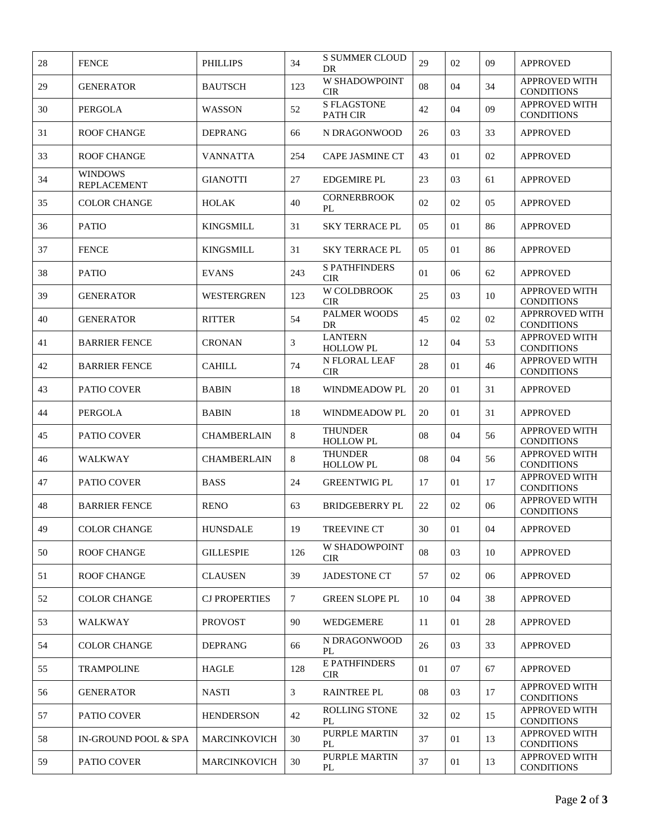| 28 | <b>FENCE</b>                         | <b>PHILLIPS</b>      | 34  | <b>S SUMMER CLOUD</b><br>DR        | 29 | 02 | 09 | <b>APPROVED</b>                            |
|----|--------------------------------------|----------------------|-----|------------------------------------|----|----|----|--------------------------------------------|
| 29 | <b>GENERATOR</b>                     | <b>BAUTSCH</b>       | 123 | W SHADOWPOINT<br><b>CIR</b>        | 08 | 04 | 34 | <b>APPROVED WITH</b><br><b>CONDITIONS</b>  |
| 30 | PERGOLA                              | <b>WASSON</b>        | 52  | <b>S FLAGSTONE</b><br>PATH CIR     | 42 | 04 | 09 | APPROVED WITH<br><b>CONDITIONS</b>         |
| 31 | <b>ROOF CHANGE</b>                   | <b>DEPRANG</b>       | 66  | N DRAGONWOOD                       | 26 | 03 | 33 | <b>APPROVED</b>                            |
| 33 | <b>ROOF CHANGE</b>                   | <b>VANNATTA</b>      | 254 | <b>CAPE JASMINE CT</b>             | 43 | 01 | 02 | <b>APPROVED</b>                            |
| 34 | <b>WINDOWS</b><br><b>REPLACEMENT</b> | <b>GIANOTTI</b>      | 27  | <b>EDGEMIRE PL</b>                 | 23 | 03 | 61 | <b>APPROVED</b>                            |
| 35 | <b>COLOR CHANGE</b>                  | <b>HOLAK</b>         | 40  | <b>CORNERBROOK</b><br>PL           | 02 | 02 | 05 | <b>APPROVED</b>                            |
| 36 | <b>PATIO</b>                         | <b>KINGSMILL</b>     | 31  | <b>SKY TERRACE PL</b>              | 05 | 01 | 86 | <b>APPROVED</b>                            |
| 37 | <b>FENCE</b>                         | <b>KINGSMILL</b>     | 31  | <b>SKY TERRACE PL</b>              | 05 | 01 | 86 | <b>APPROVED</b>                            |
| 38 | <b>PATIO</b>                         | <b>EVANS</b>         | 243 | <b>S PATHFINDERS</b><br><b>CIR</b> | 01 | 06 | 62 | <b>APPROVED</b>                            |
| 39 | <b>GENERATOR</b>                     | <b>WESTERGREN</b>    | 123 | <b>W COLDBROOK</b><br><b>CIR</b>   | 25 | 03 | 10 | <b>APPROVED WITH</b><br><b>CONDITIONS</b>  |
| 40 | <b>GENERATOR</b>                     | <b>RITTER</b>        | 54  | <b>PALMER WOODS</b><br>DR          | 45 | 02 | 02 | <b>APPRROVED WITH</b><br><b>CONDITIONS</b> |
| 41 | <b>BARRIER FENCE</b>                 | <b>CRONAN</b>        | 3   | <b>LANTERN</b><br><b>HOLLOW PL</b> | 12 | 04 | 53 | APPROVED WITH<br><b>CONDITIONS</b>         |
| 42 | <b>BARRIER FENCE</b>                 | <b>CAHILL</b>        | 74  | N FLORAL LEAF<br><b>CIR</b>        | 28 | 01 | 46 | APPROVED WITH<br><b>CONDITIONS</b>         |
| 43 | PATIO COVER                          | <b>BABIN</b>         | 18  | WINDMEADOW PL                      | 20 | 01 | 31 | <b>APPROVED</b>                            |
| 44 | PERGOLA                              | <b>BABIN</b>         | 18  | <b>WINDMEADOW PL</b>               | 20 | 01 | 31 | <b>APPROVED</b>                            |
| 45 | PATIO COVER                          | <b>CHAMBERLAIN</b>   | 8   | <b>THUNDER</b><br><b>HOLLOW PL</b> | 08 | 04 | 56 | APPROVED WITH<br><b>CONDITIONS</b>         |
| 46 | <b>WALKWAY</b>                       | <b>CHAMBERLAIN</b>   | 8   | <b>THUNDER</b><br><b>HOLLOW PL</b> | 08 | 04 | 56 | APPROVED WITH<br><b>CONDITIONS</b>         |
| 47 | PATIO COVER                          | <b>BASS</b>          | 24  | <b>GREENTWIG PL</b>                | 17 | 01 | 17 | <b>APPROVED WITH</b><br><b>CONDITIONS</b>  |
| 48 | <b>BARRIER FENCE</b>                 | <b>RENO</b>          | 63  | <b>BRIDGEBERRY PL</b>              | 22 | 02 | 06 | APPROVED WITH<br><b>CONDITIONS</b>         |
| 49 | <b>COLOR CHANGE</b>                  | <b>HUNSDALE</b>      | 19  | TREEVINE CT                        | 30 | 01 | 04 | <b>APPROVED</b>                            |
| 50 | <b>ROOF CHANGE</b>                   | <b>GILLESPIE</b>     | 126 | W SHADOWPOINT<br><b>CIR</b>        | 08 | 03 | 10 | <b>APPROVED</b>                            |
| 51 | <b>ROOF CHANGE</b>                   | <b>CLAUSEN</b>       | 39  | <b>JADESTONE CT</b>                | 57 | 02 | 06 | <b>APPROVED</b>                            |
| 52 | <b>COLOR CHANGE</b>                  | <b>CJ PROPERTIES</b> | 7   | <b>GREEN SLOPE PL</b>              | 10 | 04 | 38 | <b>APPROVED</b>                            |
| 53 | WALKWAY                              | <b>PROVOST</b>       | 90  | WEDGEMERE                          | 11 | 01 | 28 | <b>APPROVED</b>                            |
| 54 | <b>COLOR CHANGE</b>                  | <b>DEPRANG</b>       | 66  | N DRAGONWOOD<br>PL                 | 26 | 03 | 33 | <b>APPROVED</b>                            |
| 55 | <b>TRAMPOLINE</b>                    | <b>HAGLE</b>         | 128 | E PATHFINDERS<br><b>CIR</b>        | 01 | 07 | 67 | <b>APPROVED</b>                            |
| 56 | <b>GENERATOR</b>                     | <b>NASTI</b>         | 3   | <b>RAINTREE PL</b>                 | 08 | 03 | 17 | APPROVED WITH<br><b>CONDITIONS</b>         |
| 57 | PATIO COVER                          | <b>HENDERSON</b>     | 42  | ROLLING STONE<br>PL                | 32 | 02 | 15 | <b>APPROVED WITH</b><br><b>CONDITIONS</b>  |
| 58 | IN-GROUND POOL & SPA                 | <b>MARCINKOVICH</b>  | 30  | PURPLE MARTIN<br>PL                | 37 | 01 | 13 | APPROVED WITH<br><b>CONDITIONS</b>         |
| 59 | <b>PATIO COVER</b>                   | <b>MARCINKOVICH</b>  | 30  | PURPLE MARTIN<br>PL                | 37 | 01 | 13 | APPROVED WITH<br><b>CONDITIONS</b>         |